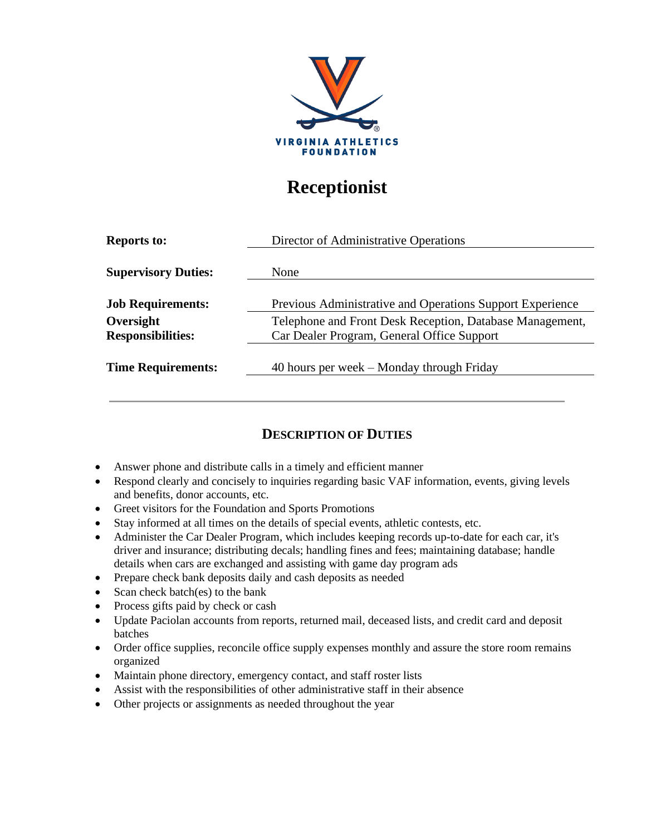

## **Receptionist**

| <b>Reports to:</b>         | Director of Administrative Operations                     |
|----------------------------|-----------------------------------------------------------|
|                            |                                                           |
| <b>Supervisory Duties:</b> | None                                                      |
| <b>Job Requirements:</b>   | Previous Administrative and Operations Support Experience |
| Oversight                  | Telephone and Front Desk Reception, Database Management,  |
| <b>Responsibilities:</b>   | Car Dealer Program, General Office Support                |
| <b>Time Requirements:</b>  | 40 hours per week – Monday through Friday                 |
|                            |                                                           |

## **DESCRIPTION OF DUTIES**

- Answer phone and distribute calls in a timely and efficient manner
- Respond clearly and concisely to inquiries regarding basic VAF information, events, giving levels and benefits, donor accounts, etc.
- Greet visitors for the Foundation and Sports Promotions
- Stay informed at all times on the details of special events, athletic contests, etc.
- Administer the Car Dealer Program, which includes keeping records up-to-date for each car, it's driver and insurance; distributing decals; handling fines and fees; maintaining database; handle details when cars are exchanged and assisting with game day program ads
- Prepare check bank deposits daily and cash deposits as needed
- Scan check batch(es) to the bank
- Process gifts paid by check or cash
- Update Paciolan accounts from reports, returned mail, deceased lists, and credit card and deposit batches
- Order office supplies, reconcile office supply expenses monthly and assure the store room remains organized
- Maintain phone directory, emergency contact, and staff roster lists
- Assist with the responsibilities of other administrative staff in their absence
- Other projects or assignments as needed throughout the year